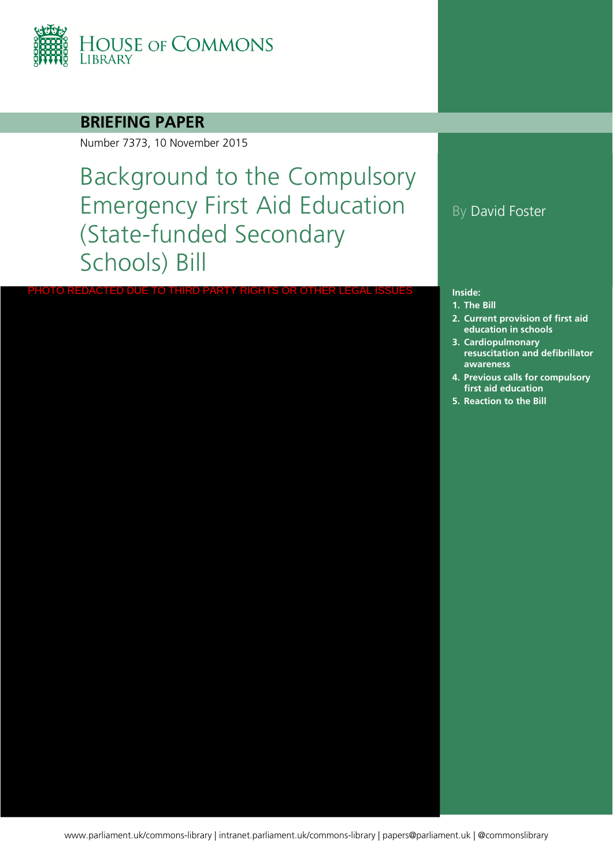

## **BRIEFING PAPER**

Number 7373, 10 November 2015

Background to the Compulsory Emergency First Aid Education (State-funded Secondary Schools) Bill

PHOTO REDACTED DUE TO THIRD PARTY RIGHTS OR OTHER LEGAL ISSUES

## By David Foster

#### **Inside:**

- **1. [The Bill](#page-3-0)**
- **2. Current provision of first aid education in schools**
- **3. Cardiopulmonary resuscitation and defibrillator awareness**
- **4. Previous calls for compulsory first aid education**
- **5. [Reaction to the Bill](#page-20-0)**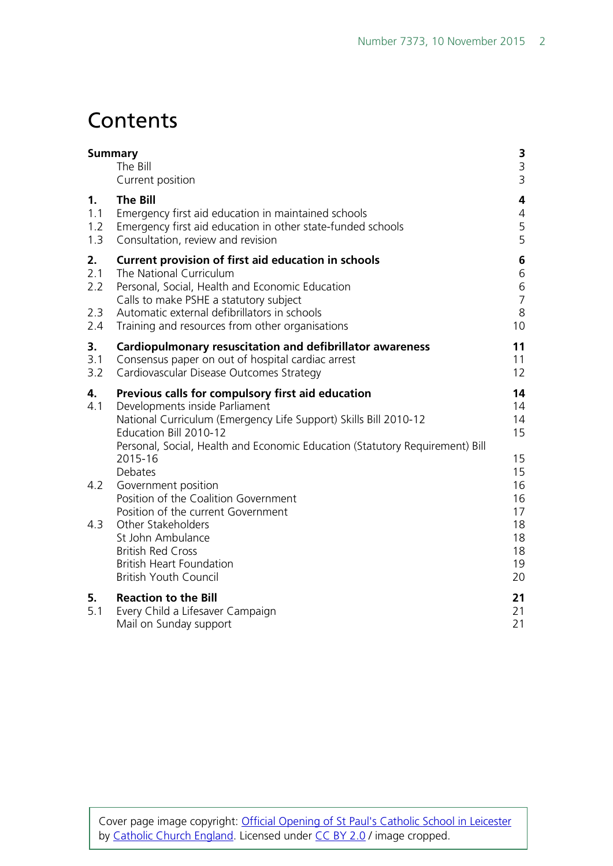# **Contents**

| <b>Summary</b>                 | The Bill<br>Current position                                                                                                                                                                                                                                                            | 3<br>$\mathsf 3$<br>3                              |
|--------------------------------|-----------------------------------------------------------------------------------------------------------------------------------------------------------------------------------------------------------------------------------------------------------------------------------------|----------------------------------------------------|
| 1.<br>1.1<br>1.2<br>1.3        | <b>The Bill</b><br>Emergency first aid education in maintained schools<br>Emergency first aid education in other state-funded schools<br>Consultation, review and revision                                                                                                              | 4<br>$\overline{4}$<br>5<br>5                      |
| 2.<br>2.1<br>2.2<br>2.3<br>2.4 | <b>Current provision of first aid education in schools</b><br>The National Curriculum<br>Personal, Social, Health and Economic Education<br>Calls to make PSHE a statutory subject<br>Automatic external defibrillators in schools<br>Training and resources from other organisations   | 6<br>6<br>$\,$ 6 $\,$<br>$\overline{7}$<br>8<br>10 |
| 3.<br>3.1<br>3.2               | <b>Cardiopulmonary resuscitation and defibrillator awareness</b><br>Consensus paper on out of hospital cardiac arrest<br>Cardiovascular Disease Outcomes Strategy                                                                                                                       | 11<br>11<br>12                                     |
| 4.<br>4.1                      | Previous calls for compulsory first aid education<br>Developments inside Parliament<br>National Curriculum (Emergency Life Support) Skills Bill 2010-12<br>Education Bill 2010-12<br>Personal, Social, Health and Economic Education (Statutory Requirement) Bill<br>2015-16<br>Debates | 14<br>14<br>14<br>15<br>15<br>15                   |
| 4.2                            | Government position<br>Position of the Coalition Government<br>Position of the current Government                                                                                                                                                                                       | 16<br>16<br>17                                     |
| 4.3                            | Other Stakeholders<br>St John Ambulance<br><b>British Red Cross</b><br><b>British Heart Foundation</b><br><b>British Youth Council</b>                                                                                                                                                  | 18<br>18<br>18<br>19<br>20                         |
| 5.<br>5.1                      | <b>Reaction to the Bill</b><br>Every Child a Lifesaver Campaign<br>Mail on Sunday support                                                                                                                                                                                               | 21<br>21<br>21                                     |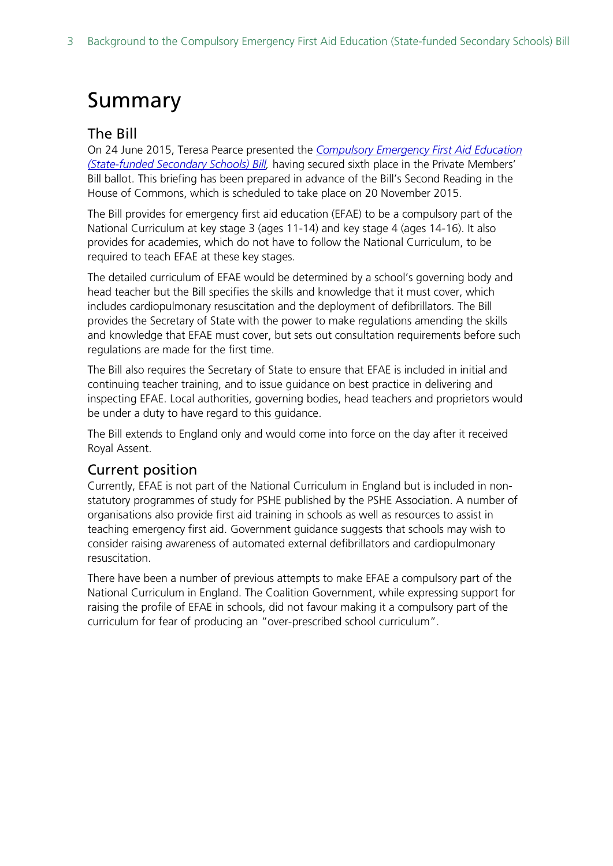# <span id="page-2-0"></span>Summary

### <span id="page-2-1"></span>The Bill

On 24 June 2015, Teresa Pearce presented the *[Compulsory Emergency First Aid Education](http://www.publications.parliament.uk/pa/bills/cbill/2015-2016/0012/cbill_2015-20160012_en_1.htm)  [\(State-funded Secondary Schools\) Bill,](http://www.publications.parliament.uk/pa/bills/cbill/2015-2016/0012/cbill_2015-20160012_en_1.htm)* having secured sixth place in the Private Members' Bill ballot. This briefing has been prepared in advance of the Bill's Second Reading in the House of Commons, which is scheduled to take place on 20 November 2015.

The Bill provides for emergency first aid education (EFAE) to be a compulsory part of the National Curriculum at key stage 3 (ages 11-14) and key stage 4 (ages 14-16). It also provides for academies, which do not have to follow the National Curriculum, to be required to teach EFAE at these key stages.

The detailed curriculum of EFAE would be determined by a school's governing body and head teacher but the Bill specifies the skills and knowledge that it must cover, which includes cardiopulmonary resuscitation and the deployment of defibrillators. The Bill provides the Secretary of State with the power to make regulations amending the skills and knowledge that EFAE must cover, but sets out consultation requirements before such regulations are made for the first time.

The Bill also requires the Secretary of State to ensure that EFAE is included in initial and continuing teacher training, and to issue guidance on best practice in delivering and inspecting EFAE. Local authorities, governing bodies, head teachers and proprietors would be under a duty to have regard to this guidance.

The Bill extends to England only and would come into force on the day after it received Royal Assent.

### <span id="page-2-2"></span>Current position

Currently, EFAE is not part of the National Curriculum in England but is included in nonstatutory programmes of study for PSHE published by the PSHE Association. A number of organisations also provide first aid training in schools as well as resources to assist in teaching emergency first aid. Government guidance suggests that schools may wish to consider raising awareness of automated external defibrillators and cardiopulmonary resuscitation.

There have been a number of previous attempts to make EFAE a compulsory part of the National Curriculum in England. The Coalition Government, while expressing support for raising the profile of EFAE in schools, did not favour making it a compulsory part of the curriculum for fear of producing an "over-prescribed school curriculum".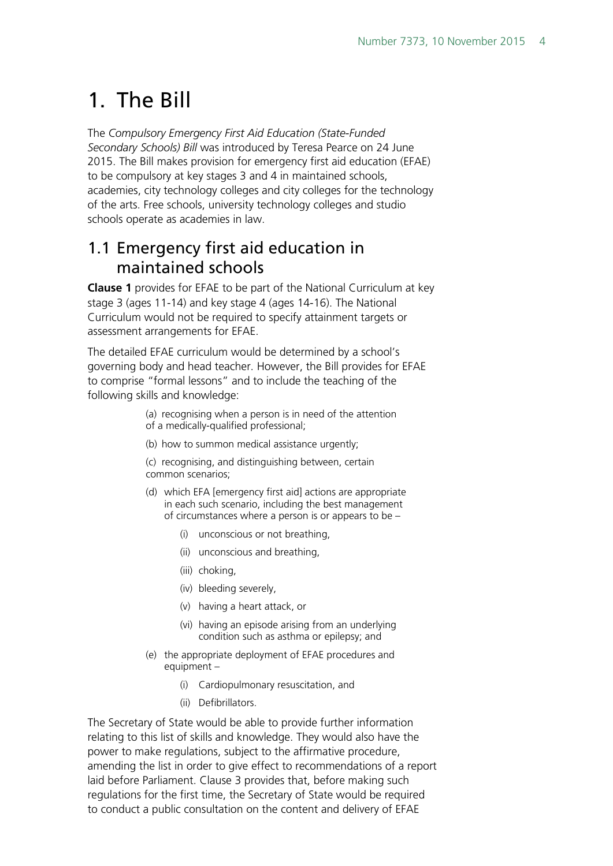# <span id="page-3-0"></span>1. The Bill

The *Compulsory Emergency First Aid Education (State-Funded Secondary Schools) Bill* was introduced by Teresa Pearce on 24 June 2015. The Bill makes provision for emergency first aid education (EFAE) to be compulsory at key stages 3 and 4 in maintained schools, academies, city technology colleges and city colleges for the technology of the arts. Free schools, university technology colleges and studio schools operate as academies in law.

# <span id="page-3-1"></span>1.1 Emergency first aid education in maintained schools

**Clause 1** provides for EFAE to be part of the National Curriculum at key stage 3 (ages 11-14) and key stage 4 (ages 14-16). The National Curriculum would not be required to specify attainment targets or assessment arrangements for EFAE.

The detailed EFAE curriculum would be determined by a school's governing body and head teacher. However, the Bill provides for EFAE to comprise "formal lessons" and to include the teaching of the following skills and knowledge:

> (a) recognising when a person is in need of the attention of a medically-qualified professional;

(b) how to summon medical assistance urgently;

(c) recognising, and distinguishing between, certain common scenarios;

- (d) which EFA [emergency first aid] actions are appropriate in each such scenario, including the best management of circumstances where a person is or appears to be –
	- (i) unconscious or not breathing,
	- (ii) unconscious and breathing,
	- (iii) choking,
	- (iv) bleeding severely,
	- (v) having a heart attack, or
	- (vi) having an episode arising from an underlying condition such as asthma or epilepsy; and
- (e) the appropriate deployment of EFAE procedures and equipment –
	- (i) Cardiopulmonary resuscitation, and
	- (ii) Defibrillators.

The Secretary of State would be able to provide further information relating to this list of skills and knowledge. They would also have the power to make regulations, subject to the affirmative procedure, amending the list in order to give effect to recommendations of a report laid before Parliament. Clause 3 provides that, before making such regulations for the first time, the Secretary of State would be required to conduct a public consultation on the content and delivery of EFAE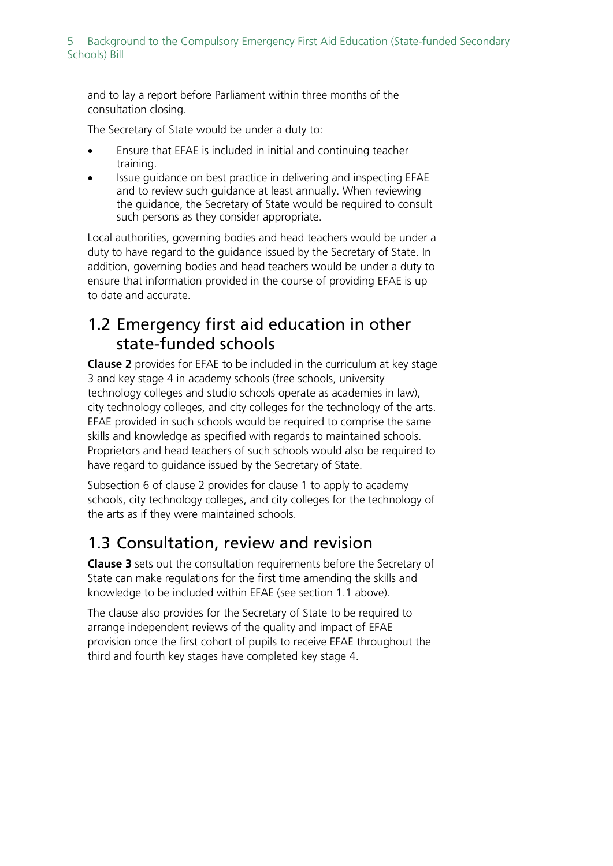#### 5 Background to the Compulsory Emergency First Aid Education (State-funded Secondary Schools) Bill

and to lay a report before Parliament within three months of the consultation closing.

The Secretary of State would be under a duty to:

- Ensure that EFAE is included in initial and continuing teacher training.
- Issue guidance on best practice in delivering and inspecting EFAE and to review such guidance at least annually. When reviewing the guidance, the Secretary of State would be required to consult such persons as they consider appropriate.

Local authorities, governing bodies and head teachers would be under a duty to have regard to the guidance issued by the Secretary of State. In addition, governing bodies and head teachers would be under a duty to ensure that information provided in the course of providing EFAE is up to date and accurate.

# <span id="page-4-0"></span>1.2 Emergency first aid education in other state-funded schools

**Clause 2** provides for EFAE to be included in the curriculum at key stage 3 and key stage 4 in academy schools (free schools, university technology colleges and studio schools operate as academies in law), city technology colleges, and city colleges for the technology of the arts. EFAE provided in such schools would be required to comprise the same skills and knowledge as specified with regards to maintained schools. Proprietors and head teachers of such schools would also be required to have regard to guidance issued by the Secretary of State.

Subsection 6 of clause 2 provides for clause 1 to apply to academy schools, city technology colleges, and city colleges for the technology of the arts as if they were maintained schools.

# <span id="page-4-1"></span>1.3 Consultation, review and revision

**Clause 3** sets out the consultation requirements before the Secretary of State can make regulations for the first time amending the skills and knowledge to be included within EFAE (see section 1.1 above).

The clause also provides for the Secretary of State to be required to arrange independent reviews of the quality and impact of EFAE provision once the first cohort of pupils to receive EFAE throughout the third and fourth key stages have completed key stage 4.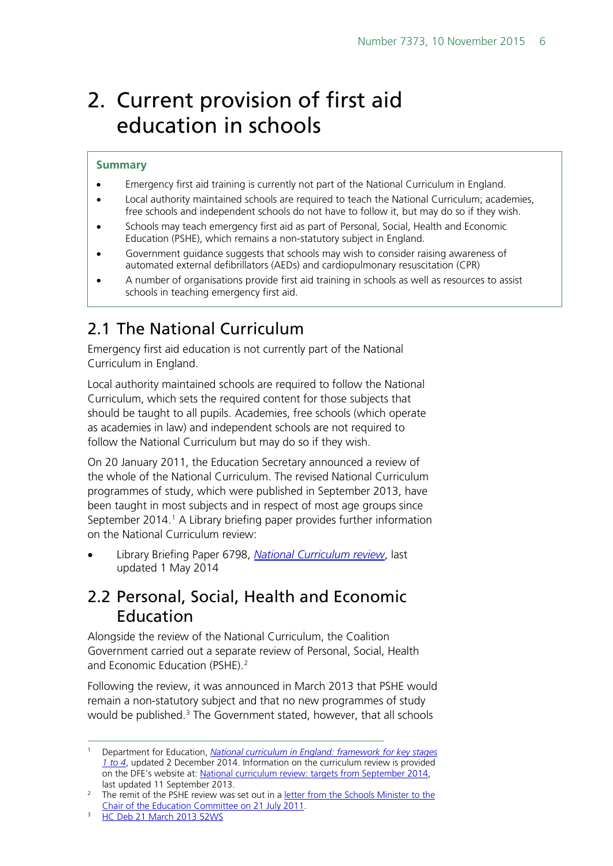# <span id="page-5-0"></span>2. Current provision of first aid education in schools

#### **Summary**

- Emergency first aid training is currently not part of the National Curriculum in England.
- Local authority maintained schools are required to teach the National Curriculum; academies, free schools and independent schools do not have to follow it, but may do so if they wish.
- Schools may teach emergency first aid as part of Personal, Social, Health and Economic Education (PSHE), which remains a non-statutory subject in England.
- Government guidance suggests that schools may wish to consider raising awareness of automated external defibrillators (AEDs) and cardiopulmonary resuscitation (CPR)
- A number of organisations provide first aid training in schools as well as resources to assist schools in teaching emergency first aid.

# <span id="page-5-1"></span>2.1 The National Curriculum

Emergency first aid education is not currently part of the National Curriculum in England.

Local authority maintained schools are required to follow the National Curriculum, which sets the required content for those subjects that should be taught to all pupils. Academies, free schools (which operate as academies in law) and independent schools are not required to follow the National Curriculum but may do so if they wish.

On 20 January 2011, the Education Secretary announced a review of the whole of the National Curriculum. The revised National Curriculum programmes of study, which were published in September 2013, have been taught in most subjects and in respect of most age groups since September 20[1](#page-5-3)4.<sup>1</sup> A Library briefing paper provides further information on the National Curriculum review:

• Library Briefing Paper 6798, *[National Curriculum review](http://researchbriefings.files.parliament.uk/documents/SN06798/SN06798.pdf)*, last updated 1 May 2014

# <span id="page-5-2"></span>2.2 Personal, Social, Health and Economic Education

Alongside the review of the National Curriculum, the Coalition Government carried out a separate review of Personal, Social, Health and Economic Education (PSHE). [2](#page-5-4)

Following the review, it was announced in March 2013 that PSHE would remain a non-statutory subject and that no new programmes of study would be published. [3](#page-5-5) The Government stated, however, that all schools

<span id="page-5-3"></span> <sup>1</sup> Department for Education, *[National curriculum in England: framework for key stages](https://www.gov.uk/government/publications/national-curriculum-in-england-framework-for-key-stages-1-to-4/the-national-curriculum-in-england-framework-for-key-stages-1-to-4)  [1 to 4](https://www.gov.uk/government/publications/national-curriculum-in-england-framework-for-key-stages-1-to-4/the-national-curriculum-in-england-framework-for-key-stages-1-to-4)*, updated 2 December 2014. Information on the curriculum review is provided on the DFE's website at: [National curriculum review: targets from September 2014,](https://www.gov.uk/government/consultations/national-curriculum-review-new-programmes-of-study-and-attainment-targets-from-september-2014) last updated 11 September 2013.

<span id="page-5-4"></span><sup>&</sup>lt;sup>2</sup> The remit of the PSHE review was set out in a letter from the Schools Minister to the [Chair of the Education Committee on 21 July 2011.](http://media.education.gov.uk/assets/files/letter%20from%20nick%20gibb.PDF)

<span id="page-5-5"></span><sup>&</sup>lt;sup>3</sup> [HC Deb 21 March 2013 52WS](http://www.publications.parliament.uk/pa/cm201213/cmhansrd/cm130321/wmstext/130321m0001.htm#13032159000004)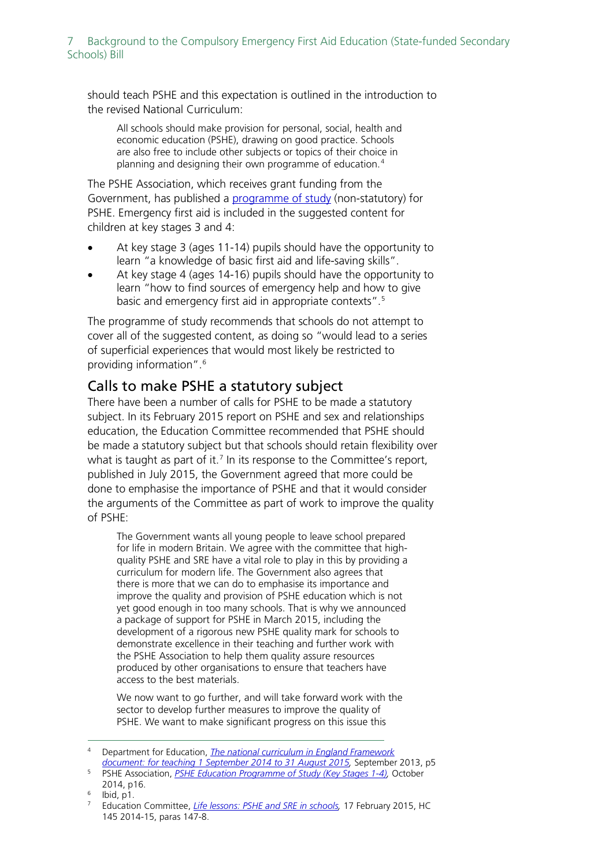should teach PSHE and this expectation is outlined in the introduction to the revised National Curriculum:

All schools should make provision for personal, social, health and economic education (PSHE), drawing on good practice. Schools are also free to include other subjects or topics of their choice in planning and designing their own programme of education. [4](#page-6-1)

The PSHE Association, which receives grant funding from the Government, has published a [programme of study](https://www.pshe-association.org.uk/uploads/media/27/8004.pdf) (non-statutory) for PSHE. Emergency first aid is included in the suggested content for children at key stages 3 and 4:

- At key stage 3 (ages 11-14) pupils should have the opportunity to learn "a knowledge of basic first aid and life-saving skills".
- At key stage 4 (ages 14-16) pupils should have the opportunity to learn "how to find sources of emergency help and how to give basic and emergency first aid in appropriate contexts".[5](#page-6-2)

The programme of study recommends that schools do not attempt to cover all of the suggested content, as doing so "would lead to a series of superficial experiences that would most likely be restricted to providing information".[6](#page-6-3)

## <span id="page-6-0"></span>Calls to make PSHE a statutory subject

There have been a number of calls for PSHE to be made a statutory subject. In its February 2015 report on PSHE and sex and relationships education, the Education Committee recommended that PSHE should be made a statutory subject but that schools should retain flexibility over what is taught as part of it.<sup>[7](#page-6-4)</sup> In its response to the Committee's report, published in July 2015, the Government agreed that more could be done to emphasise the importance of PSHE and that it would consider the arguments of the Committee as part of work to improve the quality of PSHE:

The Government wants all young people to leave school prepared for life in modern Britain. We agree with the committee that highquality PSHE and SRE have a vital role to play in this by providing a curriculum for modern life. The Government also agrees that there is more that we can do to emphasise its importance and improve the quality and provision of PSHE education which is not yet good enough in too many schools. That is why we announced a package of support for PSHE in March 2015, including the development of a rigorous new PSHE quality mark for schools to demonstrate excellence in their teaching and further work with the PSHE Association to help them quality assure resources produced by other organisations to ensure that teachers have access to the best materials.

We now want to go further, and will take forward work with the sector to develop further measures to improve the quality of PSHE. We want to make significant progress on this issue this

<span id="page-6-1"></span> <sup>4</sup> Department for Education, *[The national curriculum in England](https://www.gov.uk/government/uploads/system/uploads/attachment_data/file/339805/MASTER_final_national_curriculum_until_sept_2015_11_9_13.pdf) Framework [document: for teaching 1 September 2014 to 31 August 2015,](https://www.gov.uk/government/uploads/system/uploads/attachment_data/file/339805/MASTER_final_national_curriculum_until_sept_2015_11_9_13.pdf)* September 2013, p5

<span id="page-6-2"></span><sup>5</sup> PSHE Association, *[PSHE Education Programme of Study \(Key Stages 1-4\),](https://www.pshe-association.org.uk/uploads/media/27/8004.pdf)* October 2014, p16.

<span id="page-6-4"></span><span id="page-6-3"></span> $\frac{6}{7}$  Ibid, p1.

<sup>7</sup> Education Committee, *[Life lessons: PSHE and SRE in schools,](http://www.publications.parliament.uk/pa/cm201415/cmselect/cmeduc/145/145.pdf)* 17 February 2015, HC 145 2014-15, paras 147-8.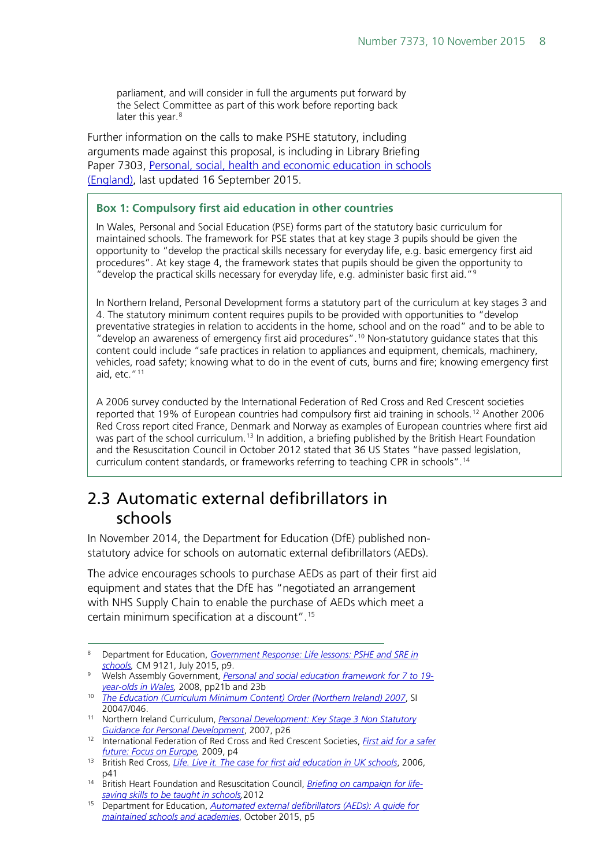parliament, and will consider in full the arguments put forward by the Select Committee as part of this work before reporting back later this year.<sup>[8](#page-7-1)</sup>

Further information on the calls to make PSHE statutory, including arguments made against this proposal, is including in Library Briefing Paper 7303, [Personal, social, health and economic education in schools](http://researchbriefings.parliament.uk/ResearchBriefing/Summary/CBP-7303)  [\(England\),](http://researchbriefings.parliament.uk/ResearchBriefing/Summary/CBP-7303) last updated 16 September 2015.

#### **Box 1: Compulsory first aid education in other countries**

In Wales, Personal and Social Education (PSE) forms part of the statutory basic curriculum for maintained schools. The framework for PSE states that at key stage 3 pupils should be given the opportunity to "develop the practical skills necessary for everyday life, e.g. basic emergency first aid procedures". At key stage 4, the framework states that pupils should be given the opportunity to "develop the practical skills necessary for everyday life, e.g. administer basic first aid."[9](#page-7-2)

In Northern Ireland, Personal Development forms a statutory part of the curriculum at key stages 3 and 4. The statutory minimum content requires pupils to be provided with opportunities to "develop preventative strategies in relation to accidents in the home, school and on the road" and to be able to "develop an awareness of emergency first aid procedures".[10](#page-7-3) Non-statutory guidance states that this content could include "safe practices in relation to appliances and equipment, chemicals, machinery, vehicles, road safety; knowing what to do in the event of cuts, burns and fire; knowing emergency first aid, etc."[11](#page-7-4)

A 2006 survey conducted by the International Federation of Red Cross and Red Crescent societies reported that 19% of European countries had compulsory first aid training in schools.[12](#page-7-5) Another 2006 Red Cross report cited France, Denmark and Norway as examples of European countries where first aid was part of the school curriculum.<sup>[13](#page-7-6)</sup> In addition, a briefing published by the British Heart Foundation and the Resuscitation Council in October 2012 stated that 36 US States "have passed legislation, curriculum content standards, or frameworks referring to teaching CPR in schools".[14](#page-7-7)

# <span id="page-7-0"></span>2.3 Automatic external defibrillators in schools

In November 2014, the Department for Education (DfE) published nonstatutory advice for schools on automatic external defibrillators (AEDs).

The advice encourages schools to purchase AEDs as part of their first aid equipment and states that the DfE has "negotiated an arrangement with NHS Supply Chain to enable the purchase of AEDs which meet a certain minimum specification at a discount".[15](#page-7-8)

<span id="page-7-1"></span> <sup>8</sup> Department for Education, *[Government Response: Life lessons: PSHE and SRE in](https://www.gov.uk/government/uploads/system/uploads/attachment_data/file/446038/50742_Cm_9121_Web.pdf)  [schools,](https://www.gov.uk/government/uploads/system/uploads/attachment_data/file/446038/50742_Cm_9121_Web.pdf)* CM 9121, July 2015, p9.

<span id="page-7-2"></span><sup>9</sup> Welsh Assembly Government, *[Personal and social education framework for 7 to 19](http://learning.gov.wales/docs/learningwales/publications/130425-personal-and-social-education-framework-en.pdf) [year-olds in Wales,](http://learning.gov.wales/docs/learningwales/publications/130425-personal-and-social-education-framework-en.pdf)* 2008, pp21b and 23b

<span id="page-7-3"></span><sup>10</sup> *[The Education \(Curriculum Minimum Content\) Order \(Northern Ireland\) 2007](http://www.legislation.gov.uk/nisr/2007/46/contents/made)*, SI 20047/046.

<span id="page-7-4"></span><sup>11</sup> Northern Ireland Curriculum, *[Personal Development: Key Stage 3 Non Statutory](http://ccea.org.uk/sites/default/files/docs/curriculum/area_of_learning/learning_life_work/pers_dev/ks3_pd_nonstat_guidance_Aug2011.pdf)  [Guidance for Personal Development](http://ccea.org.uk/sites/default/files/docs/curriculum/area_of_learning/learning_life_work/pers_dev/ks3_pd_nonstat_guidance_Aug2011.pdf)*, 2007, p26

<span id="page-7-5"></span><sup>12</sup> International Federation of Red Cross and Red Crescent Societies, *[First aid for a safer](https://www.ifrc.org/PageFiles/53459/First%20aid%20for%20a%20safer%20future%20Focus%20on%20Europe%20%20Advocacy%20report%202009.pdf?epslanguage=en)  [future: Focus on Europe,](https://www.ifrc.org/PageFiles/53459/First%20aid%20for%20a%20safer%20future%20Focus%20on%20Europe%20%20Advocacy%20report%202009.pdf?epslanguage=en)* 2009, p4

<span id="page-7-6"></span><sup>13</sup> British Red Cross, *[Life. Live it. The case for first aid education in UK schools](http://www.redcross.org.uk/What-we-do/Teaching-resources/Teaching-packages/Life-live-it-first-aid-education-for-young-people/%7E/media/BritishRedCross/Documents/What%20we%20do/First%20aid/Life%20Live%20It/Policy%20report.pdf)*, 2006, p41

<span id="page-7-7"></span><sup>14</sup> British Heart Foundation and Resuscitation Council, *[Briefing on campaign](https://www.collegeofparamedics.co.uk/downloads/ELS_Campaign_Briefing_OCT_2012.pdf) for life[saving skills to be taught in schools,](https://www.collegeofparamedics.co.uk/downloads/ELS_Campaign_Briefing_OCT_2012.pdf)*2012

<span id="page-7-8"></span><sup>15</sup> Department for Education, *[Automated external defibrillators \(AEDs\): A guide for](https://www.gov.uk/government/uploads/system/uploads/attachment_data/file/466876/AED_guide_for_schools.pdf)  [maintained schools and academies](https://www.gov.uk/government/uploads/system/uploads/attachment_data/file/466876/AED_guide_for_schools.pdf)*, October 2015, p5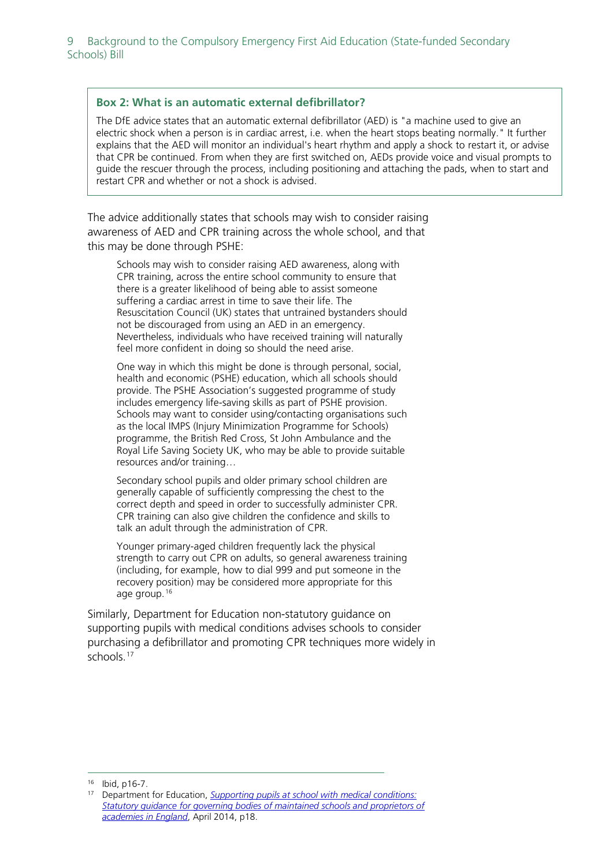#### **Box 2: What is an automatic external defibrillator?**

The DfE advice states that an automatic external defibrillator (AED) is "a machine used to give an electric shock when a person is in cardiac arrest, i.e. when the heart stops beating normally." It further explains that the AED will monitor an individual's heart rhythm and apply a shock to restart it, or advise that CPR be continued. From when they are first switched on, AEDs provide voice and visual prompts to guide the rescuer through the process, including positioning and attaching the pads, when to start and restart CPR and whether or not a shock is advised.

The advice additionally states that schools may wish to consider raising awareness of AED and CPR training across the whole school, and that this may be done through PSHE:

Schools may wish to consider raising AED awareness, along with CPR training, across the entire school community to ensure that there is a greater likelihood of being able to assist someone suffering a cardiac arrest in time to save their life. The Resuscitation Council (UK) states that untrained bystanders should not be discouraged from using an AED in an emergency. Nevertheless, individuals who have received training will naturally feel more confident in doing so should the need arise.

One way in which this might be done is through personal, social, health and economic (PSHE) education, which all schools should provide. The PSHE Association's suggested programme of study includes emergency life-saving skills as part of PSHE provision. Schools may want to consider using/contacting organisations such as the local IMPS (Injury Minimization Programme for Schools) programme, the British Red Cross, St John Ambulance and the Royal Life Saving Society UK, who may be able to provide suitable resources and/or training…

Secondary school pupils and older primary school children are generally capable of sufficiently compressing the chest to the correct depth and speed in order to successfully administer CPR. CPR training can also give children the confidence and skills to talk an adult through the administration of CPR.

Younger primary-aged children frequently lack the physical strength to carry out CPR on adults, so general awareness training (including, for example, how to dial 999 and put someone in the recovery position) may be considered more appropriate for this age group.[16](#page-8-0)

Similarly, Department for Education non-statutory guidance on supporting pupils with medical conditions advises schools to consider purchasing a defibrillator and promoting CPR techniques more widely in schools. [17](#page-8-1)

<span id="page-8-0"></span> <sup>16</sup> Ibid, p16-7.

<span id="page-8-1"></span><sup>17</sup> Department for Education, *Supporting [pupils at school with medical conditions:](https://www.gov.uk/government/uploads/system/uploads/attachment_data/file/306952/Statutory_guidance_on_supporting_pupils_at_school_with_medical_conditions.pdf)  [Statutory guidance for governing bodies of maintained schools and proprietors of](https://www.gov.uk/government/uploads/system/uploads/attachment_data/file/306952/Statutory_guidance_on_supporting_pupils_at_school_with_medical_conditions.pdf)  [academies in England](https://www.gov.uk/government/uploads/system/uploads/attachment_data/file/306952/Statutory_guidance_on_supporting_pupils_at_school_with_medical_conditions.pdf)*, April 2014, p18.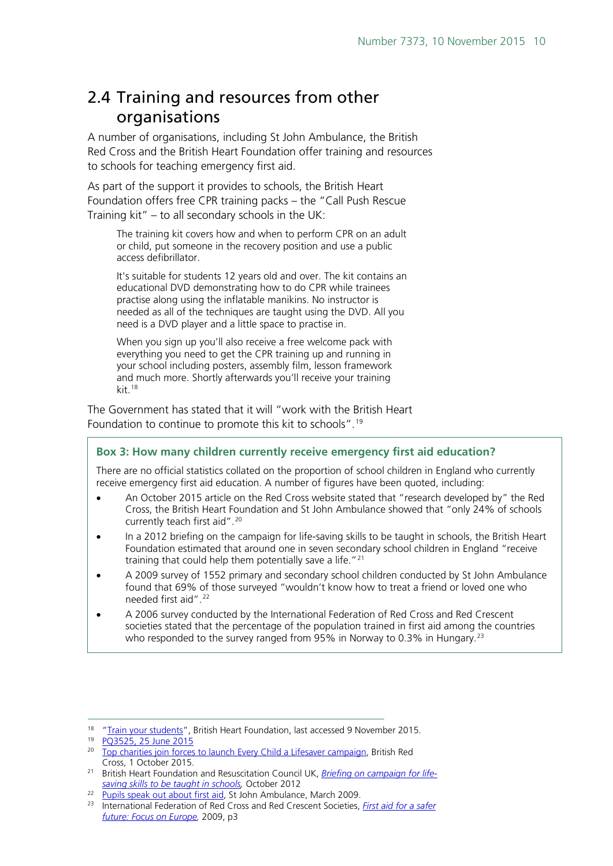# <span id="page-9-0"></span>2.4 Training and resources from other organisations

A number of organisations, including St John Ambulance, the British Red Cross and the British Heart Foundation offer training and resources to schools for teaching emergency first aid.

As part of the support it provides to schools, the British Heart Foundation offers free CPR training packs – the "Call Push Rescue Training kit" – to all secondary schools in the UK:

The training kit covers how and when to perform CPR on an adult or child, put someone in the recovery position and use a public access defibrillator.

It's suitable for students 12 years old and over. The kit contains an educational DVD demonstrating how to do CPR while trainees practise along using the inflatable manikins. No instructor is needed as all of the techniques are taught using the DVD. All you need is a DVD player and a little space to practise in.

When you sign up you'll also receive a free welcome pack with everything you need to get the CPR training up and running in your school including posters, assembly film, lesson framework and much more. Shortly afterwards you'll receive your training kit.<sup>[18](#page-9-1)</sup>

The Government has stated that it will "work with the British Heart Foundation to continue to promote this kit to schools".<sup>[19](#page-9-2)</sup>

#### **Box 3: How many children currently receive emergency first aid education?**

There are no official statistics collated on the proportion of school children in England who currently receive emergency first aid education. A number of figures have been quoted, including:

- An October 2015 article on the Red Cross website stated that "research developed by" the Red Cross, the British Heart Foundation and St John Ambulance showed that "only 24% of schools currently teach first aid".<sup>[20](#page-9-3)</sup>
- In a 2012 briefing on the campaign for life-saving skills to be taught in schools, the British Heart Foundation estimated that around one in seven secondary school children in England "receive training that could help them potentially save a life."[21](#page-9-4)
- A 2009 survey of 1552 primary and secondary school children conducted by St John Ambulance found that 69% of those surveyed "wouldn't know how to treat a friend or loved one who needed first aid".<sup>[22](#page-9-5)</sup>
- A 2006 survey conducted by the International Federation of Red Cross and Red Crescent societies stated that the percentage of the population trained in first aid among the countries who responded to the survey ranged from 95% in Norway to 0.3% in Hungary.<sup>[23](#page-9-6)</sup>

<span id="page-9-1"></span><sup>&</sup>lt;sup>18</sup> ["Train your students"](https://www.bhf.org.uk/heart-health/nation-of-lifesavers/call-push-rescue/schools), British Heart Foundation, last accessed 9 November 2015.

<span id="page-9-2"></span> $19 \overline{PO3525}$ , 25 June 2015

<span id="page-9-3"></span><sup>20</sup> [Top charities join forces to launch Every Child a Lifesaver campaign,](http://www.redcross.org.uk/About-us/News/2015/October/Top-charities-join-forces-to-launch-Every-Child-a-Lifesaver-campaign) British Red Cross, 1 October 2015.

<span id="page-9-4"></span><sup>21</sup> British Heart Foundation and Resuscitation Council UK, *[Briefing on campaign for life](https://www.collegeofparamedics.co.uk/downloads/ELS_Campaign_Briefing_OCT_2012.pdf)[saving skills to be taught in schools,](https://www.collegeofparamedics.co.uk/downloads/ELS_Campaign_Briefing_OCT_2012.pdf)* October 2012

<span id="page-9-5"></span><sup>&</sup>lt;sup>22</sup> [Pupils speak out about first aid,](https://www.sja.org.uk/sja/about-us/latest-news/pupils-speak-out.aspx) St John Ambulance, March 2009.

<span id="page-9-6"></span><sup>23</sup> International Federation of Red Cross and Red Crescent Societies, *[First aid for a safer](https://www.ifrc.org/PageFiles/53459/First%20aid%20for%20a%20safer%20future%20Focus%20on%20Europe%20%20Advocacy%20report%202009.pdf?epslanguage=en)  [future: Focus on Europe,](https://www.ifrc.org/PageFiles/53459/First%20aid%20for%20a%20safer%20future%20Focus%20on%20Europe%20%20Advocacy%20report%202009.pdf?epslanguage=en)* 2009, p3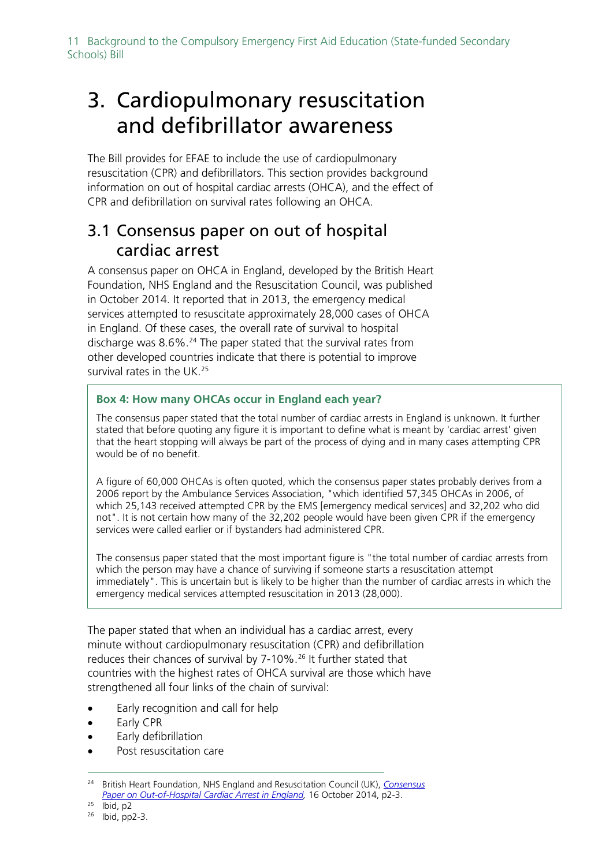11 Background to the Compulsory Emergency First Aid Education (State-funded Secondary Schools) Bill

# <span id="page-10-0"></span>3. Cardiopulmonary resuscitation and defibrillator awareness

The Bill provides for EFAE to include the use of cardiopulmonary resuscitation (CPR) and defibrillators. This section provides background information on out of hospital cardiac arrests (OHCA), and the effect of CPR and defibrillation on survival rates following an OHCA.

# <span id="page-10-1"></span>3.1 Consensus paper on out of hospital cardiac arrest

A consensus paper on OHCA in England, developed by the British Heart Foundation, NHS England and the Resuscitation Council, was published in October 2014. It reported that in 2013, the emergency medical services attempted to resuscitate approximately 28,000 cases of OHCA in England. Of these cases, the overall rate of survival to hospital discharge was  $8.6\%$ .<sup>[24](#page-10-2)</sup> The paper stated that the survival rates from other developed countries indicate that there is potential to improve survival rates in the UK.<sup>[25](#page-10-3)</sup>

### **Box 4: How many OHCAs occur in England each year?**

The consensus paper stated that the total number of cardiac arrests in England is unknown. It further stated that before quoting any figure it is important to define what is meant by 'cardiac arrest' given that the heart stopping will always be part of the process of dying and in many cases attempting CPR would be of no benefit.

A figure of 60,000 OHCAs is often quoted, which the consensus paper states probably derives from a 2006 report by the Ambulance Services Association, "which identified 57,345 OHCAs in 2006, of which 25,143 received attempted CPR by the EMS [emergency medical services] and 32,202 who did not". It is not certain how many of the 32,202 people would have been given CPR if the emergency services were called earlier or if bystanders had administered CPR.

The consensus paper stated that the most important figure is "the total number of cardiac arrests from which the person may have a chance of surviving if someone starts a resuscitation attempt immediately". This is uncertain but is likely to be higher than the number of cardiac arrests in which the emergency medical services attempted resuscitation in 2013 (28,000).

The paper stated that when an individual has a cardiac arrest, every minute without cardiopulmonary resuscitation (CPR) and defibrillation reduces their chances of survival by 7-10%.<sup>[26](#page-10-4)</sup> It further stated that countries with the highest rates of OHCA survival are those which have strengthened all four links of the chain of survival:

- Early recognition and call for help
- Early CPR
- Early defibrillation
- Post resuscitation care

<span id="page-10-2"></span> <sup>24</sup> British Heart Foundation, NHS England and Resuscitation Council (UK), *[Consensus](https://www.resus.org.uk/publications/consensus-paper-on-out-of-hospital-cardiac-arrest-in-england/)*  [Paper on Out-of-Hospital Cardiac Arrest in England,](https://www.resus.org.uk/publications/consensus-paper-on-out-of-hospital-cardiac-arrest-in-england/) 16 October 2014, p2-3.

<span id="page-10-3"></span> $25$  Ibid, p2

<span id="page-10-4"></span><sup>26</sup> Ibid, pp2-3.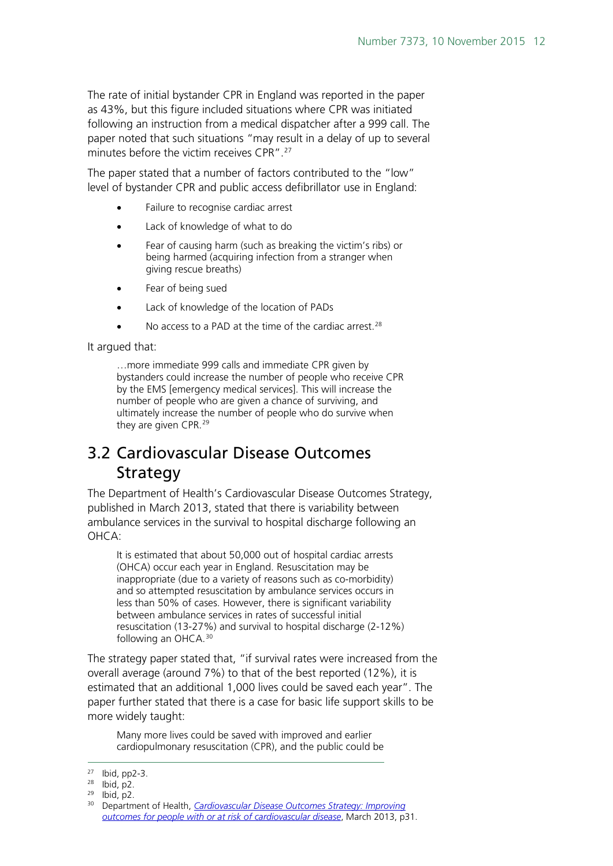The rate of initial bystander CPR in England was reported in the paper as 43%, but this figure included situations where CPR was initiated following an instruction from a medical dispatcher after a 999 call. The paper noted that such situations "may result in a delay of up to several minutes before the victim receives CPR".<sup>[27](#page-11-1)</sup>

The paper stated that a number of factors contributed to the "low" level of bystander CPR and public access defibrillator use in England:

- Failure to recognise cardiac arrest
- Lack of knowledge of what to do
- Fear of causing harm (such as breaking the victim's ribs) or being harmed (acquiring infection from a stranger when giving rescue breaths)
- Fear of being sued
- Lack of knowledge of the location of PADs
- No access to a PAD at the time of the cardiac arrest.<sup>[28](#page-11-2)</sup>

It argued that:

…more immediate 999 calls and immediate CPR given by bystanders could increase the number of people who receive CPR by the EMS [emergency medical services]. This will increase the number of people who are given a chance of surviving, and ultimately increase the number of people who do survive when they are given CPR.[29](#page-11-3)

# <span id="page-11-0"></span>3.2 Cardiovascular Disease Outcomes **Strategy**

The Department of Health's Cardiovascular Disease Outcomes Strategy, published in March 2013, stated that there is variability between ambulance services in the survival to hospital discharge following an OHCA:

It is estimated that about 50,000 out of hospital cardiac arrests (OHCA) occur each year in England. Resuscitation may be inappropriate (due to a variety of reasons such as co-morbidity) and so attempted resuscitation by ambulance services occurs in less than 50% of cases. However, there is significant variability between ambulance services in rates of successful initial resuscitation (13-27%) and survival to hospital discharge (2-12%) following an OHCA.<sup>[30](#page-11-4)</sup>

The strategy paper stated that, "if survival rates were increased from the overall average (around 7%) to that of the best reported (12%), it is estimated that an additional 1,000 lives could be saved each year". The paper further stated that there is a case for basic life support skills to be more widely taught:

Many more lives could be saved with improved and earlier cardiopulmonary resuscitation (CPR), and the public could be

<span id="page-11-1"></span> <sup>27</sup> Ibid, pp2-3.

<span id="page-11-2"></span><sup>28</sup> Ibid, p2.

<span id="page-11-3"></span><sup>29</sup> Ibid, p2.

<span id="page-11-4"></span><sup>30</sup> Department of Health, *[Cardiovascular Disease Outcomes Strategy: Improving](https://www.gov.uk/government/uploads/system/uploads/attachment_data/file/214895/9387-2900853-CVD-Outcomes_web1.pdf)  [outcomes for people with or at risk of cardiovascular disease](https://www.gov.uk/government/uploads/system/uploads/attachment_data/file/214895/9387-2900853-CVD-Outcomes_web1.pdf)*, March 2013, p31.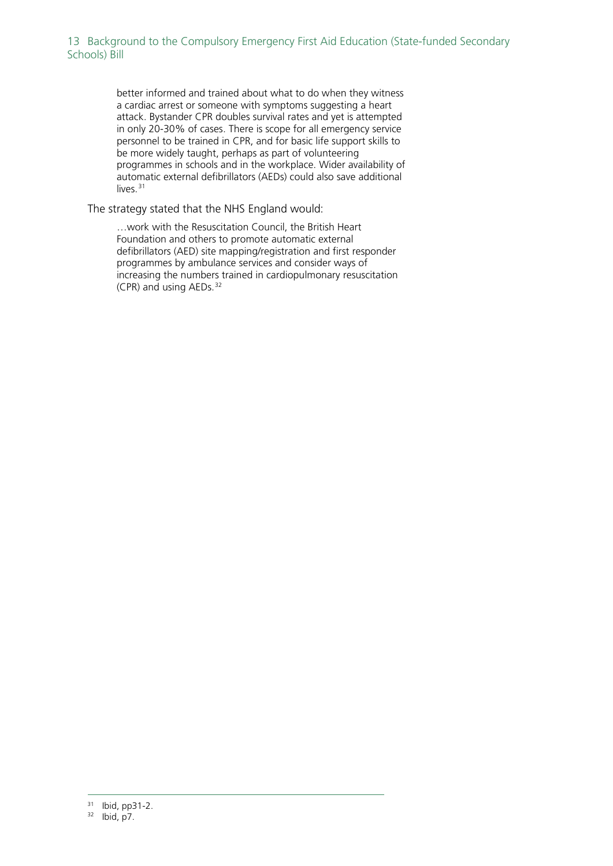better informed and trained about what to do when they witness a cardiac arrest or someone with symptoms suggesting a heart attack. Bystander CPR doubles survival rates and yet is attempted in only 20-30% of cases. There is scope for all emergency service personnel to be trained in CPR, and for basic life support skills to be more widely taught, perhaps as part of volunteering programmes in schools and in the workplace. Wider availability of automatic external defibrillators (AEDs) could also save additional  $liver^{31}$  $liver^{31}$  $liver^{31}$ 

#### The strategy stated that the NHS England would:

…work with the Resuscitation Council, the British Heart Foundation and others to promote automatic external defibrillators (AED) site mapping/registration and first responder programmes by ambulance services and consider ways of increasing the numbers trained in cardiopulmonary resuscitation (CPR) and using AEDs. [32](#page-12-1)

<span id="page-12-0"></span> <sup>31</sup> Ibid, pp31-2.

<span id="page-12-1"></span><sup>32</sup> Ibid, p7.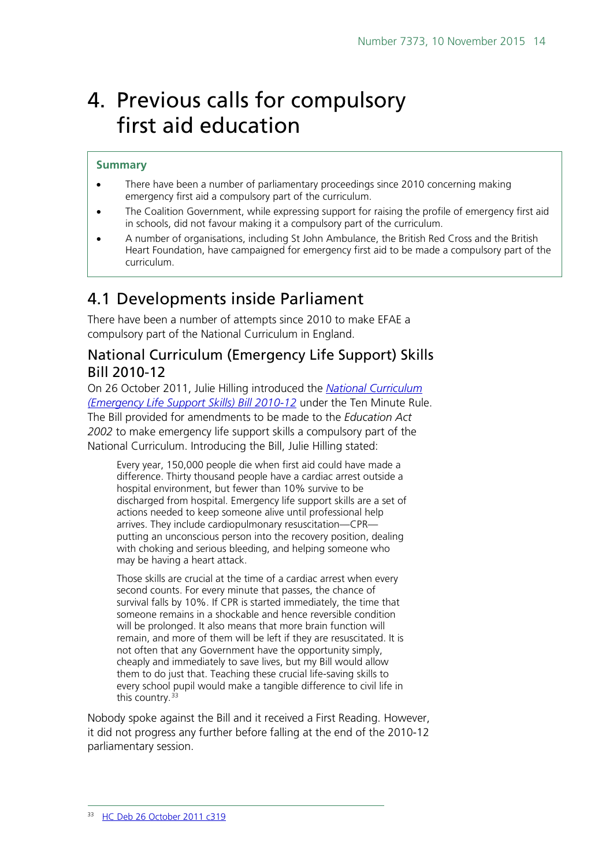# <span id="page-13-0"></span>4. Previous calls for compulsory first aid education

#### **Summary**

- There have been a number of parliamentary proceedings since 2010 concerning making emergency first aid a compulsory part of the curriculum.
- The Coalition Government, while expressing support for raising the profile of emergency first aid in schools, did not favour making it a compulsory part of the curriculum.
- A number of organisations, including St John Ambulance, the British Red Cross and the British Heart Foundation, have campaigned for emergency first aid to be made a compulsory part of the curriculum.

# <span id="page-13-1"></span>4.1 Developments inside Parliament

There have been a number of attempts since 2010 to make EFAE a compulsory part of the National Curriculum in England.

### <span id="page-13-2"></span>National Curriculum (Emergency Life Support) Skills Bill 2010-12

On 26 October 2011, Julie Hilling introduced the *[National Curriculum](http://www.publications.parliament.uk/pa/bills/cbill/2010-2012/0240/cbill_2010-20120240_en_1.htm)  [\(Emergency Life Support Skills\) Bill 2010-12](http://www.publications.parliament.uk/pa/bills/cbill/2010-2012/0240/cbill_2010-20120240_en_1.htm)* under the Ten Minute Rule. The Bill provided for amendments to be made to the *Education Act 2002* to make emergency life support skills a compulsory part of the National Curriculum. Introducing the Bill, Julie Hilling stated:

Every year, 150,000 people die when first aid could have made a difference. Thirty thousand people have a cardiac arrest outside a hospital environment, but fewer than 10% survive to be discharged from hospital. Emergency life support skills are a set of actions needed to keep someone alive until professional help arrives. They include cardiopulmonary resuscitation—CPR putting an unconscious person into the recovery position, dealing with choking and serious bleeding, and helping someone who may be having a heart attack.

Those skills are crucial at the time of a cardiac arrest when every second counts. For every minute that passes, the chance of survival falls by 10%. If CPR is started immediately, the time that someone remains in a shockable and hence reversible condition will be prolonged. It also means that more brain function will remain, and more of them will be left if they are resuscitated. It is not often that any Government have the opportunity simply, cheaply and immediately to save lives, but my Bill would allow them to do just that. Teaching these crucial life-saving skills to every school pupil would make a tangible difference to civil life in this country.<sup>[33](#page-13-3)</sup>

<span id="page-13-3"></span>Nobody spoke against the Bill and it received a First Reading. However, it did not progress any further before falling at the end of the 2010-12 parliamentary session.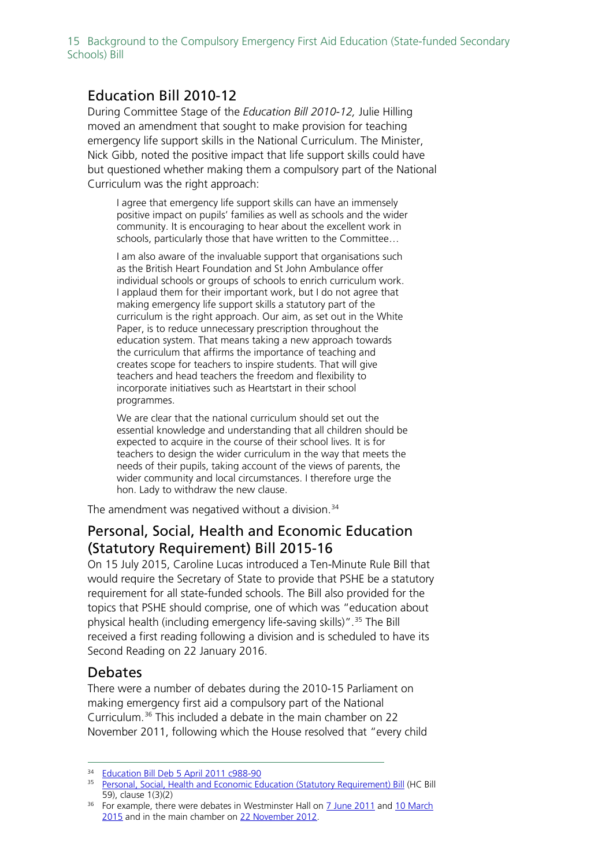15 Background to the Compulsory Emergency First Aid Education (State-funded Secondary Schools) Bill

### <span id="page-14-0"></span>Education Bill 2010-12

During Committee Stage of the *Education Bill 2010-12,* Julie Hilling moved an amendment that sought to make provision for teaching emergency life support skills in the National Curriculum. The Minister, Nick Gibb, noted the positive impact that life support skills could have but questioned whether making them a compulsory part of the National Curriculum was the right approach:

I agree that emergency life support skills can have an immensely positive impact on pupils' families as well as schools and the wider community. It is encouraging to hear about the excellent work in schools, particularly those that have written to the Committee…

I am also aware of the invaluable support that organisations such as the British Heart Foundation and St John Ambulance offer individual schools or groups of schools to enrich curriculum work. I applaud them for their important work, but I do not agree that making emergency life support skills a statutory part of the curriculum is the right approach. Our aim, as set out in the White Paper, is to reduce unnecessary prescription throughout the education system. That means taking a new approach towards the curriculum that affirms the importance of teaching and creates scope for teachers to inspire students. That will give teachers and head teachers the freedom and flexibility to incorporate initiatives such as Heartstart in their school programmes.

We are clear that the national curriculum should set out the essential knowledge and understanding that all children should be expected to acquire in the course of their school lives. It is for teachers to design the wider curriculum in the way that meets the needs of their pupils, taking account of the views of parents, the wider community and local circumstances. I therefore urge the hon. Lady to withdraw the new clause.

The amendment was negatived without a division. [34](#page-14-3)

### <span id="page-14-1"></span>Personal, Social, Health and Economic Education (Statutory Requirement) Bill 2015-16

On 15 July 2015, Caroline Lucas introduced a Ten-Minute Rule Bill that would require the Secretary of State to provide that PSHE be a statutory requirement for all state-funded schools. The Bill also provided for the topics that PSHE should comprise, one of which was "education about physical health (including emergency life-saving skills)".<sup>[35](#page-14-4)</sup> The Bill received a first reading following a division and is scheduled to have its Second Reading on 22 January 2016.

### <span id="page-14-2"></span>Debates

There were a number of debates during the 2010-15 Parliament on making emergency first aid a compulsory part of the National Curriculum.[36](#page-14-5) This included a debate in the main chamber on 22 November 2011, following which the House resolved that "every child

<span id="page-14-3"></span><sup>&</sup>lt;sup>34</sup> [Education Bill Deb 5 April 2011 c988-90](http://www.publications.parliament.uk/pa/cm201011/cmpublic/education/110405/pm/110405s01.htm)

<span id="page-14-4"></span><sup>35</sup> [Personal, Social, Health and Economic Education \(Statutory Requirement\) Bill](http://www.publications.parliament.uk/pa/bills/cbill/2015-2016/0059/cbill_2015-20160059_en_1.htm) (HC Bill 59), clause 1(3)(2)

<span id="page-14-5"></span> $36$  For example, there were debates in Westminster Hall on  $\overline{7}$  June 2011 and 10 March [2015](http://www.publications.parliament.uk/pa/cm201415/cmhansrd/cm150310/halltext/150310h0001.htm#15031035000001) and in the main chamber on [22 November 2012.](http://www.publications.parliament.uk/pa/cm201213/cmhansrd/cm121122/debtext/121122-0002.htm#12112237000009)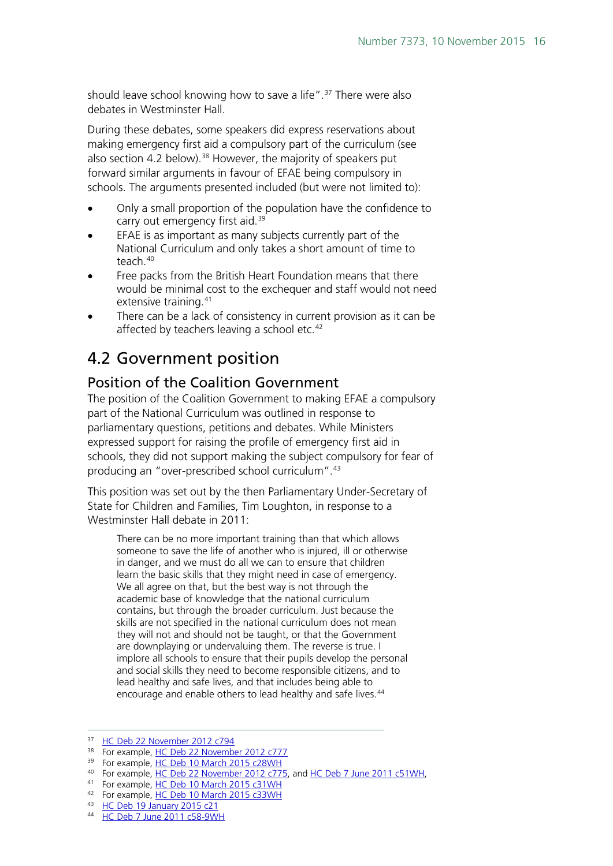should leave school knowing how to save a life". [37](#page-15-2) There were also debates in Westminster Hall.

During these debates, some speakers did express reservations about making emergency first aid a compulsory part of the curriculum (see also section 4.2 below).<sup>[38](#page-15-3)</sup> However, the majority of speakers put forward similar arguments in favour of EFAE being compulsory in schools. The arguments presented included (but were not limited to):

- Only a small proportion of the population have the confidence to carry out emergency first aid.<sup>[39](#page-15-4)</sup>
- EFAE is as important as many subjects currently part of the National Curriculum and only takes a short amount of time to teach.[40](#page-15-5)
- Free packs from the British Heart Foundation means that there would be minimal cost to the exchequer and staff would not need extensive training.<sup>[41](#page-15-6)</sup>
- There can be a lack of consistency in current provision as it can be affected by teachers leaving a school etc.<sup>[42](#page-15-7)</sup>

# <span id="page-15-0"></span>4.2 Government position

### <span id="page-15-1"></span>Position of the Coalition Government

The position of the Coalition Government to making EFAE a compulsory part of the National Curriculum was outlined in response to parliamentary questions, petitions and debates. While Ministers expressed support for raising the profile of emergency first aid in schools, they did not support making the subject compulsory for fear of producing an "over-prescribed school curriculum".[43](#page-15-8)

This position was set out by the then Parliamentary Under-Secretary of State for Children and Families, Tim Loughton, in response to a Westminster Hall debate in 2011:

There can be no more important training than that which allows someone to save the life of another who is injured, ill or otherwise in danger, and we must do all we can to ensure that children learn the basic skills that they might need in case of emergency. We all agree on that, but the best way is not through the academic base of knowledge that the national curriculum contains, but through the broader curriculum. Just because the skills are not specified in the national curriculum does not mean they will not and should not be taught, or that the Government are downplaying or undervaluing them. The reverse is true. I implore all schools to ensure that their pupils develop the personal and social skills they need to become responsible citizens, and to lead healthy and safe lives, and that includes being able to encourage and enable others to lead healthy and safe lives.<sup>[44](#page-15-9)</sup>

<span id="page-15-2"></span><sup>&</sup>lt;sup>37</sup> [HC Deb 22 November 2012 c794](http://www.publications.parliament.uk/pa/cm201213/cmhansrd/cm121122/debtext/121122-0003.htm#12112237001615)

<span id="page-15-3"></span><sup>&</sup>lt;sup>38</sup> For example[, HC Deb 22 November 2012 c777](http://www.publications.parliament.uk/pa/cm201213/cmhansrd/cm121122/debtext/121122-0002.htm#12112237001572)

<sup>&</sup>lt;sup>39</sup> For example[, HC Deb 10 March 2015 c28WH](http://www.publications.parliament.uk/pa/cm201415/cmhansrd/cm150310/halltext/150310h0001.htm#15031035000212)

<span id="page-15-5"></span><span id="page-15-4"></span><sup>&</sup>lt;sup>40</sup> For example[, HC Deb 22 November 2012 c775,](http://www.publications.parliament.uk/pa/cm201213/cmhansrd/cm121122/debtext/121122-0002.htm#12112237001565) and [HC Deb 7 June 2011 c51WH,](http://www.publications.parliament.uk/pa/cm201011/cmhansrd/cm110607/halltext/110607h0002.htm#11060724000095)

<span id="page-15-6"></span><sup>41</sup> For example[, HC Deb 10 March 2015 c31WH](http://www.publications.parliament.uk/pa/cm201415/cmhansrd/cm150310/halltext/150310h0001.htm#15031035000217)

<span id="page-15-7"></span><sup>&</sup>lt;sup>42</sup> For example[, HC Deb 10 March 2015 c33WH](http://www.publications.parliament.uk/pa/cm201415/cmhansrd/cm150310/halltext/150310h0001.htm#15031035000218)

<span id="page-15-8"></span><sup>43</sup> [HC Deb 19 January 2015 c21](http://www.publications.parliament.uk/pa/cm201415/cmhansrd/cm150119/debtext/150119-0001.htm#1501192000174)

<span id="page-15-9"></span><sup>44</sup> [HC Deb 7 June 2011 c58-9WH](http://www.publications.parliament.uk/pa/cm201011/cmhansrd/cm110607/halltext/110607h0002.htm#11060724000270)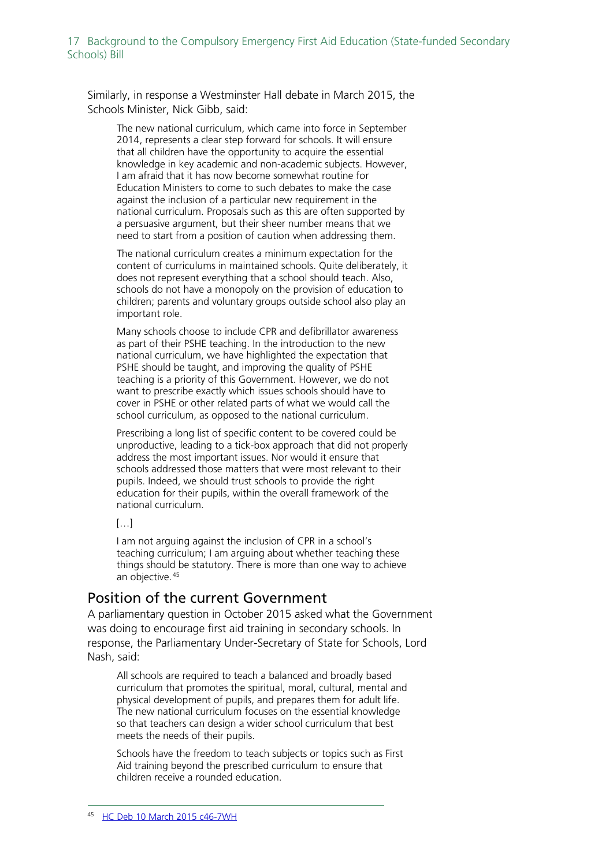Similarly, in response a Westminster Hall debate in March 2015, the Schools Minister, Nick Gibb, said:

The new national curriculum, which came into force in September 2014, represents a clear step forward for schools. It will ensure that all children have the opportunity to acquire the essential knowledge in key academic and non-academic subjects. However, I am afraid that it has now become somewhat routine for Education Ministers to come to such debates to make the case against the inclusion of a particular new requirement in the national curriculum. Proposals such as this are often supported by a persuasive argument, but their sheer number means that we need to start from a position of caution when addressing them.

The national curriculum creates a minimum expectation for the content of curriculums in maintained schools. Quite deliberately, it does not represent everything that a school should teach. Also, schools do not have a monopoly on the provision of education to children; parents and voluntary groups outside school also play an important role.

Many schools choose to include CPR and defibrillator awareness as part of their PSHE teaching. In the introduction to the new national curriculum, we have highlighted the expectation that PSHE should be taught, and improving the quality of PSHE teaching is a priority of this Government. However, we do not want to prescribe exactly which issues schools should have to cover in PSHE or other related parts of what we would call the school curriculum, as opposed to the national curriculum.

Prescribing a long list of specific content to be covered could be unproductive, leading to a tick-box approach that did not properly address the most important issues. Nor would it ensure that schools addressed those matters that were most relevant to their pupils. Indeed, we should trust schools to provide the right education for their pupils, within the overall framework of the national curriculum.

#### $[...]$

I am not arguing against the inclusion of CPR in a school's teaching curriculum; I am arguing about whether teaching these things should be statutory. There is more than one way to achieve an objective.<sup>[45](#page-16-1)</sup>

### <span id="page-16-0"></span>Position of the current Government

A parliamentary question in October 2015 asked what the Government was doing to encourage first aid training in secondary schools. In response, the Parliamentary Under-Secretary of State for Schools, Lord Nash, said:

All schools are required to teach a balanced and broadly based curriculum that promotes the spiritual, moral, cultural, mental and physical development of pupils, and prepares them for adult life. The new national curriculum focuses on the essential knowledge so that teachers can design a wider school curriculum that best meets the needs of their pupils.

<span id="page-16-1"></span>Schools have the freedom to teach subjects or topics such as First Aid training beyond the prescribed curriculum to ensure that children receive a rounded education.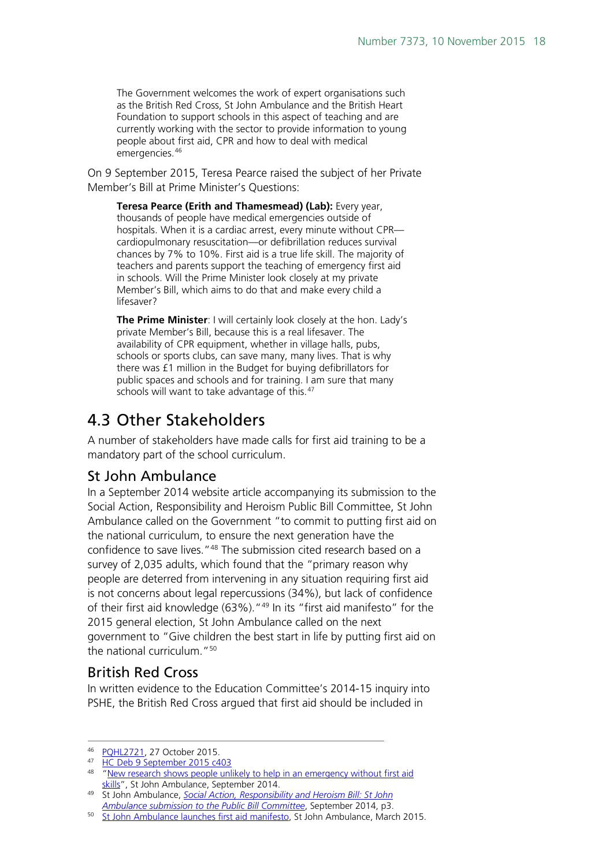The Government welcomes the work of expert organisations such as the British Red Cross, St John Ambulance and the British Heart Foundation to support schools in this aspect of teaching and are currently working with the sector to provide information to young people about first aid, CPR and how to deal with medical emergencies.[46](#page-17-3)

On 9 September 2015, Teresa Pearce raised the subject of her Private Member's Bill at Prime Minister's Questions:

**Teresa Pearce (Erith and Thamesmead) (Lab):** Every year, thousands of people have medical emergencies outside of hospitals. When it is a cardiac arrest, every minute without CPR cardiopulmonary resuscitation—or defibrillation reduces survival chances by 7% to 10%. First aid is a true life skill. The majority of teachers and parents support the teaching of emergency first aid in schools. Will the Prime Minister look closely at my private Member's Bill, which aims to do that and make every child a lifesaver?

**The Prime Minister**: I will certainly look closely at the hon. Lady's private Member's Bill, because this is a real lifesaver. The availability of CPR equipment, whether in village halls, pubs, schools or sports clubs, can save many, many lives. That is why there was £1 million in the Budget for buying defibrillators for public spaces and schools and for training. I am sure that many schools will want to take advantage of this.<sup>[47](#page-17-4)</sup>

# <span id="page-17-0"></span>4.3 Other Stakeholders

A number of stakeholders have made calls for first aid training to be a mandatory part of the school curriculum.

## <span id="page-17-1"></span>St John Ambulance

In a September 2014 website article accompanying its submission to the Social Action, Responsibility and Heroism Public Bill Committee, St John Ambulance called on the Government "to commit to putting first aid on the national curriculum, to ensure the next generation have the confidence to save lives."[48](#page-17-5) The submission cited research based on a survey of 2,035 adults, which found that the "primary reason why people are deterred from intervening in any situation requiring first aid is not concerns about legal repercussions (34%), but lack of confidence of their first aid knowledge (63%). "<sup>[49](#page-17-6)</sup> In its "first aid manifesto" for the 2015 general election, St John Ambulance called on the next government to "Give children the best start in life by putting first aid on the national curriculum.<sup>"[50](#page-17-7)</sup>

## <span id="page-17-2"></span>British Red Cross

In written evidence to the Education Committee's 2014-15 inquiry into PSHE, the British Red Cross argued that first aid should be included in

<span id="page-17-3"></span> <sup>46</sup> [PQHL2721,](http://www.parliament.uk/written-questions-answers-statements/written-question/lords/2015-10-19/HL2721) 27 October 2015.

<span id="page-17-4"></span><sup>47</sup> [HC Deb 9 September 2015 c403](http://www.publications.parliament.uk/pa/cm201516/cmhansrd/cm150909/debtext/150909-0001.htm#15090926000110)

<span id="page-17-5"></span><sup>&</sup>lt;sup>48</sup> "New research shows people unlikely to help in an emergency without first aid [skills"](http://www.sja.org.uk/sja/what-we-do/latest-news/news-archive/news-stories-from-2014/september-2014/new-research.aspx), St John Ambulance, September 2014.

<span id="page-17-6"></span><sup>49</sup> St John Ambulance, *[Social Action, Responsibility and Heroism Bill: St John](http://www.sja.org.uk/sja/pdf/SARAH-SJA-submission.pdf)  [Ambulance submission to the Public Bill Committee](http://www.sja.org.uk/sja/pdf/SARAH-SJA-submission.pdf)*, September 2014, p3.

<span id="page-17-7"></span><sup>50</sup> [St John Ambulance launches first aid manifesto,](https://www.sja.org.uk/sja/what-we-do/latest-news/news-archive/news-stories-from-2015/march-2015/st-john-ambulance-manifesto.aspx) St John Ambulance, March 2015.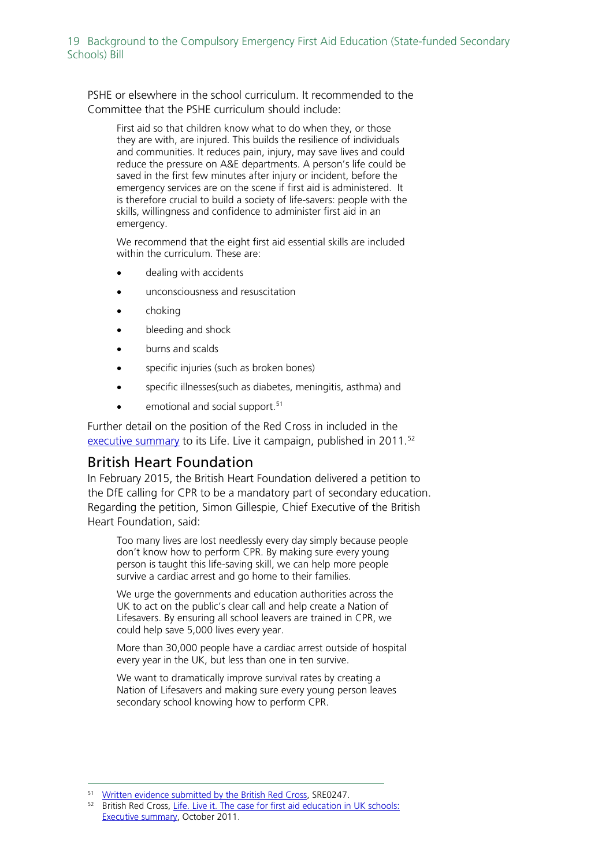PSHE or elsewhere in the school curriculum. It recommended to the Committee that the PSHE curriculum should include:

First aid so that children know what to do when they, or those they are with, are injured. This builds the resilience of individuals and communities. It reduces pain, injury, may save lives and could reduce the pressure on A&E departments. A person's life could be saved in the first few minutes after injury or incident, before the emergency services are on the scene if first aid is administered. It is therefore crucial to build a society of life-savers: people with the skills, willingness and confidence to administer first aid in an emergency.

We recommend that the eight first aid essential skills are included within the curriculum. These are:

- dealing with accidents
- unconsciousness and resuscitation
- choking
- bleeding and shock
- burns and scalds
- specific injuries (such as broken bones)
- specific illnesses(such as diabetes, meningitis, asthma) and
- emotional and social support.<sup>[51](#page-18-1)</sup>

Further detail on the position of the Red Cross in included in the [executive summary](http://www.redcross.org.uk/%7E/media/BritishRedCross/Documents/What%20we%20do/First%20aid/First%20aid%20in%20schools%20report%20summary.pdf) to its Life. Live it campaign, published in 2011.<sup>[52](#page-18-2)</sup>

### <span id="page-18-0"></span>British Heart Foundation

In February 2015, the British Heart Foundation delivered a petition to the DfE calling for CPR to be a mandatory part of secondary education. Regarding the petition, Simon Gillespie, Chief Executive of the British Heart Foundation, said:

Too many lives are lost needlessly every day simply because people don't know how to perform CPR. By making sure every young person is taught this life-saving skill, we can help more people survive a cardiac arrest and go home to their families.

We urge the governments and education authorities across the UK to act on the public's clear call and help create a Nation of Lifesavers. By ensuring all school leavers are trained in CPR, we could help save 5,000 lives every year.

More than 30,000 people have a cardiac arrest outside of hospital every year in the UK, but less than one in ten survive.

We want to dramatically improve survival rates by creating a Nation of Lifesavers and making sure every young person leaves secondary school knowing how to perform CPR.

<span id="page-18-1"></span> <sup>51</sup> [Written evidence submitted by the British Red Cross,](http://data.parliament.uk/WrittenEvidence/CommitteeEvidence.svc/EvidenceDocument/Education/Personal,%20Social,%20Health%20and%20Economic%20Education%20and%20Sex%20and%20Relationships%20Education%20in%20Schools/written/10122.html) SRE0247.

<span id="page-18-2"></span><sup>&</sup>lt;sup>52</sup> British Red Cross, Life. Live it. The case for first aid education in UK schools: [Executive summary,](http://www.redcross.org.uk/%7E/media/BritishRedCross/Documents/What%20we%20do/First%20aid/First%20aid%20in%20schools%20report%20summary.pdf) October 2011.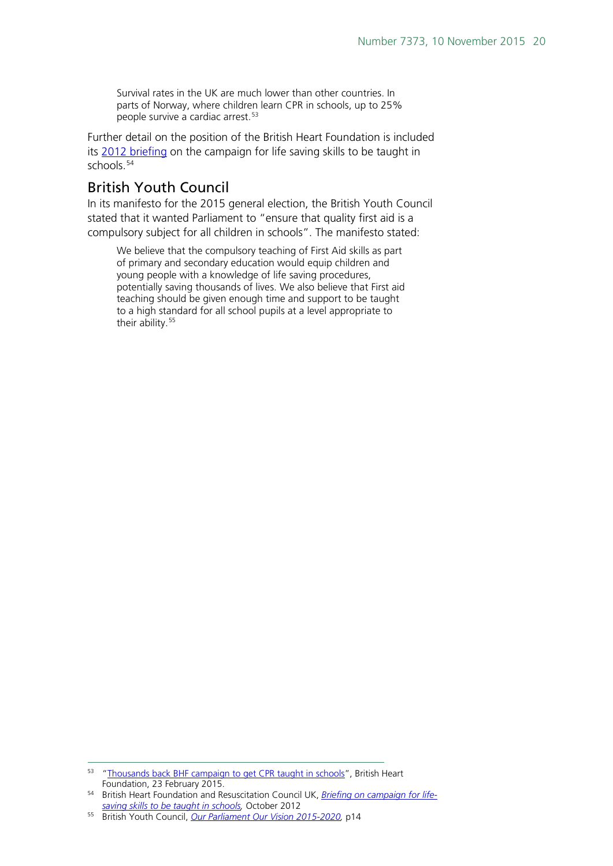Survival rates in the UK are much lower than other countries. In parts of Norway, where children learn CPR in schools, up to 25% people survive a cardiac arrest.<sup>[53](#page-19-1)</sup>

Further detail on the position of the British Heart Foundation is included its [2012 briefing](https://www.collegeofparamedics.co.uk/downloads/ELS_Campaign_Briefing_OCT_2012.pdf) on the campaign for life saving skills to be taught in schools.<sup>[54](#page-19-2)</sup>

## <span id="page-19-0"></span>British Youth Council

In its manifesto for the 2015 general election, the British Youth Council stated that it wanted Parliament to "ensure that quality first aid is a compulsory subject for all children in schools". The manifesto stated:

We believe that the compulsory teaching of First Aid skills as part of primary and secondary education would equip children and young people with a knowledge of life saving procedures, potentially saving thousands of lives. We also believe that First aid teaching should be given enough time and support to be taught to a high standard for all school pupils at a level appropriate to their ability.<sup>[55](#page-19-3)</sup>

<span id="page-19-1"></span><sup>53</sup> ["Thousands back BHF campaign to get CPR taught in schools"](https://www.bhf.org.uk/news-from-the-bhf/news-archive/2015/february/thousands-back-bhf-campaign-to-get-cpr-taught-in-schools), British Heart Foundation, 23 February 2015.

<span id="page-19-2"></span><sup>54</sup> British Heart Foundation and Resuscitation Council UK, *[Briefing on campaign for life](https://www.collegeofparamedics.co.uk/downloads/ELS_Campaign_Briefing_OCT_2012.pdf)[saving skills to be taught in schools,](https://www.collegeofparamedics.co.uk/downloads/ELS_Campaign_Briefing_OCT_2012.pdf)* October 2012

<span id="page-19-3"></span><sup>55</sup> British Youth Council, *[Our Parliament Our Vision 2015-2020,](http://www.byc.org.uk/media/257625/byc_manifesto_2015_final__web_use_.pdf)* p14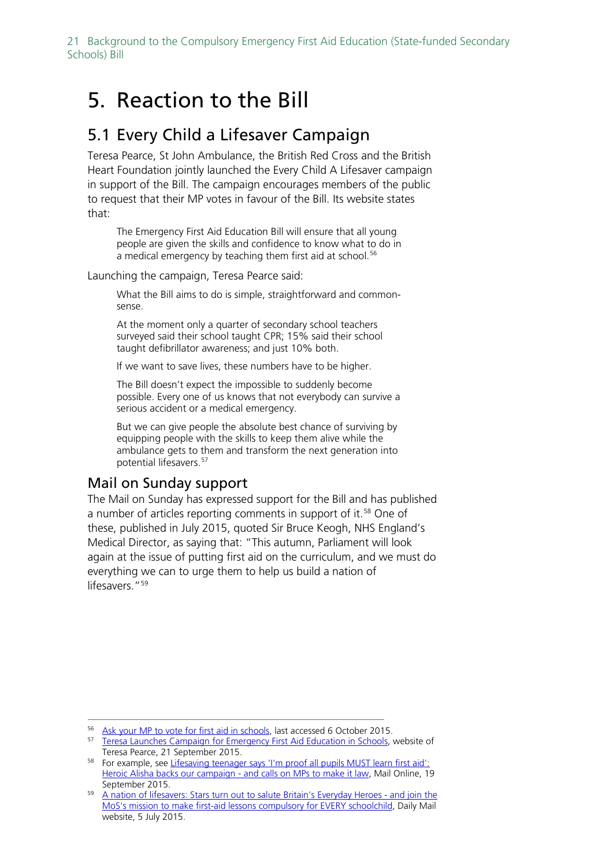# <span id="page-20-0"></span>5. Reaction to the Bill

# <span id="page-20-1"></span>5.1 Every Child a Lifesaver Campaign

Teresa Pearce, St John Ambulance, the British Red Cross and the British Heart Foundation jointly launched the Every Child A Lifesaver campaign in support of the Bill. The campaign encourages members of the public to request that their MP votes in favour of the Bill. Its website states that:

The Emergency First Aid Education Bill will ensure that all young people are given the skills and confidence to know what to do in a medical emergency by teaching them first aid at school.<sup>[56](#page-20-3)</sup>

Launching the campaign, Teresa Pearce said:

What the Bill aims to do is simple, straightforward and commonsense.

At the moment only a quarter of secondary school teachers surveyed said their school taught CPR; 15% said their school taught defibrillator awareness; and just 10% both.

If we want to save lives, these numbers have to be higher.

The Bill doesn't expect the impossible to suddenly become possible. Every one of us knows that not everybody can survive a serious accident or a medical emergency.

But we can give people the absolute best chance of surviving by equipping people with the skills to keep them alive while the ambulance gets to them and transform the next generation into potential lifesavers.<sup>[57](#page-20-4)</sup>

## <span id="page-20-2"></span>Mail on Sunday support

The Mail on Sunday has expressed support for the Bill and has published a number of articles reporting comments in support of it. [58](#page-20-5) One of these, published in July 2015, quoted Sir Bruce Keogh, NHS England's Medical Director, as saying that: "This autumn, Parliament will look again at the issue of putting first aid on the curriculum, and we must do everything we can to urge them to help us build a nation of lifesavers."<sup>[59](#page-20-6)</sup>

<sup>56</sup> [Ask your MP to vote for first aid in schools,](http://e-activist.com/ea-action/action?ea.client.id=57&ea.campaign.id=41953&ea.tracking.id=SJA) last accessed 6 October 2015.

<span id="page-20-4"></span><span id="page-20-3"></span><sup>&</sup>lt;sup>57</sup> [Teresa Launches Campaign for Emergency First Aid Education in Schools,](http://www.teresapearce.org.uk/2015/09/teresa-launches-campaign-for-emergency-first-aid-education-in-schools/) website of Teresa Pearce, 21 September 2015.

<span id="page-20-5"></span><sup>58</sup> For example, see Lifesaving teenager says 'I'm proof all pupils MUST learn first aid': [Heroic Alisha backs our campaign -](http://www.dailymail.co.uk/health/article-3241129/Lifesaving-teenager-says-m-proof-pupils-learn-aid-Heroic-Alisha-backs-campaign-calls-MPs-make-law.html) and calls on MPs to make it law, Mail Online, 19 September 2015.

<span id="page-20-6"></span><sup>&</sup>lt;sup>59</sup> [A nation of lifesavers: Stars turn out to salute Britain's Everyday Heroes -](http://www.dailymail.co.uk/health/article-3149473/A-nation-lifesavers-Stars-turn-salute-Britain-s-Everyday-Heroes-join-MoS-s-mission-make-aid-lessons-compulsory-schoolchild.html) and join the [MoS's mission to make first-aid lessons compulsory for EVERY schoolchild,](http://www.dailymail.co.uk/health/article-3149473/A-nation-lifesavers-Stars-turn-salute-Britain-s-Everyday-Heroes-join-MoS-s-mission-make-aid-lessons-compulsory-schoolchild.html) Daily Mail website, 5 July 2015.